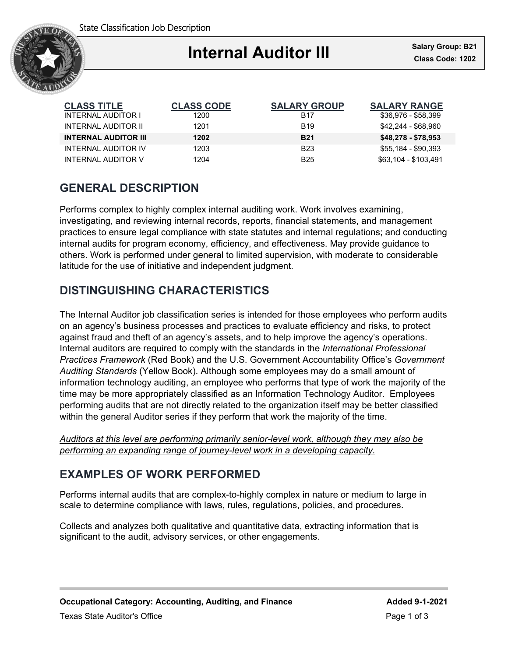

## i **Internal Auditor III Class Code: 1202**

| <b>CLASS TITLE</b>          | <b>CLASS CODE</b> | <b>SALARY GROUP</b> | <b>SALARY RANGE</b>  |
|-----------------------------|-------------------|---------------------|----------------------|
| <b>INTERNAL AUDITOR I</b>   | 1200              | <b>B17</b>          | \$36,976 - \$58,399  |
| INTERNAL AUDITOR II         | 1201              | <b>B</b> 19         | \$42.244 - \$68.960  |
| <b>INTERNAL AUDITOR III</b> | 1202              | <b>B21</b>          | \$48,278 - \$78,953  |
| <b>INTERNAL AUDITOR IV</b>  | 1203              | <b>B23</b>          | \$55,184 - \$90,393  |
| INTERNAL AUDITOR V          | 1204              | B <sub>25</sub>     | \$63,104 - \$103,491 |

# **GENERAL DESCRIPTION**

Performs complex to highly complex internal auditing work. Work involves examining, investigating, and reviewing internal records, reports, financial statements, and management practices to ensure legal compliance with state statutes and internal regulations; and conducting internal audits for program economy, efficiency, and effectiveness. May provide guidance to others. Work is performed under general to limited supervision, with moderate to considerable latitude for the use of initiative and independent judgment.

# **DISTINGUISHING CHARACTERISTICS**

The Internal Auditor job classification series is intended for those employees who perform audits on an agency's business processes and practices to evaluate efficiency and risks, to protect against fraud and theft of an agency's assets, and to help improve the agency's operations. Internal auditors are required to comply with the standards in the *International Professional Practices Framework* (Red Book) and the U.S. Government Accountability Office's *Government Auditing Standards* (Yellow Book). Although some employees may do a small amount of information technology auditing, an employee who performs that type of work the majority of the time may be more appropriately classified as an Information Technology Auditor. Employees performing audits that are not directly related to the organization itself may be better classified within the general Auditor series if they perform that work the majority of the time.

*Auditors at this level are performing primarily senior-level work, although they may also be performing an expanding range of journey-level work in a developing capacity.*

## **EXAMPLES OF WORK PERFORMED**

Performs internal audits that are complex-to-highly complex in nature or medium to large in scale to determine compliance with laws, rules, regulations, policies, and procedures.

Collects and analyzes both qualitative and quantitative data, extracting information that is significant to the audit, advisory services, or other engagements.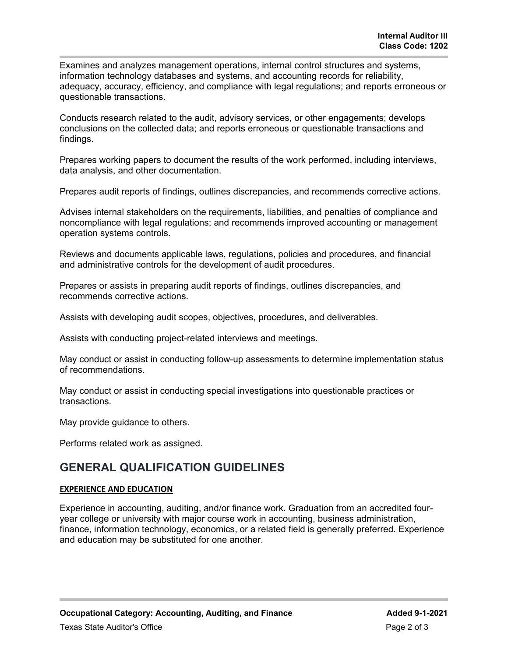Examines and analyzes management operations, internal control structures and systems, information technology databases and systems, and accounting records for reliability, adequacy, accuracy, efficiency, and compliance with legal regulations; and reports erroneous or questionable transactions.

Conducts research related to the audit, advisory services, or other engagements; develops conclusions on the collected data; and reports erroneous or questionable transactions and findings.

Prepares working papers to document the results of the work performed, including interviews, data analysis, and other documentation.

Prepares audit reports of findings, outlines discrepancies, and recommends corrective actions.

Advises internal stakeholders on the requirements, liabilities, and penalties of compliance and noncompliance with legal regulations; and recommends improved accounting or management operation systems controls.

Reviews and documents applicable laws, regulations, policies and procedures, and financial and administrative controls for the development of audit procedures.

Prepares or assists in preparing audit reports of findings, outlines discrepancies, and recommends corrective actions.

Assists with developing audit scopes, objectives, procedures, and deliverables.

Assists with conducting project-related interviews and meetings.

May conduct or assist in conducting follow-up assessments to determine implementation status of recommendations.

May conduct or assist in conducting special investigations into questionable practices or transactions.

May provide guidance to others.

Performs related work as assigned.

### **GENERAL QUALIFICATION GUIDELINES**

### **EXPERIENCE AND EDUCATION**

Experience in accounting, auditing, and/or finance work. Graduation from an accredited fouryear college or university with major course work in accounting, business administration, finance, information technology, economics, or a related field is generally preferred. Experience and education may be substituted for one another.